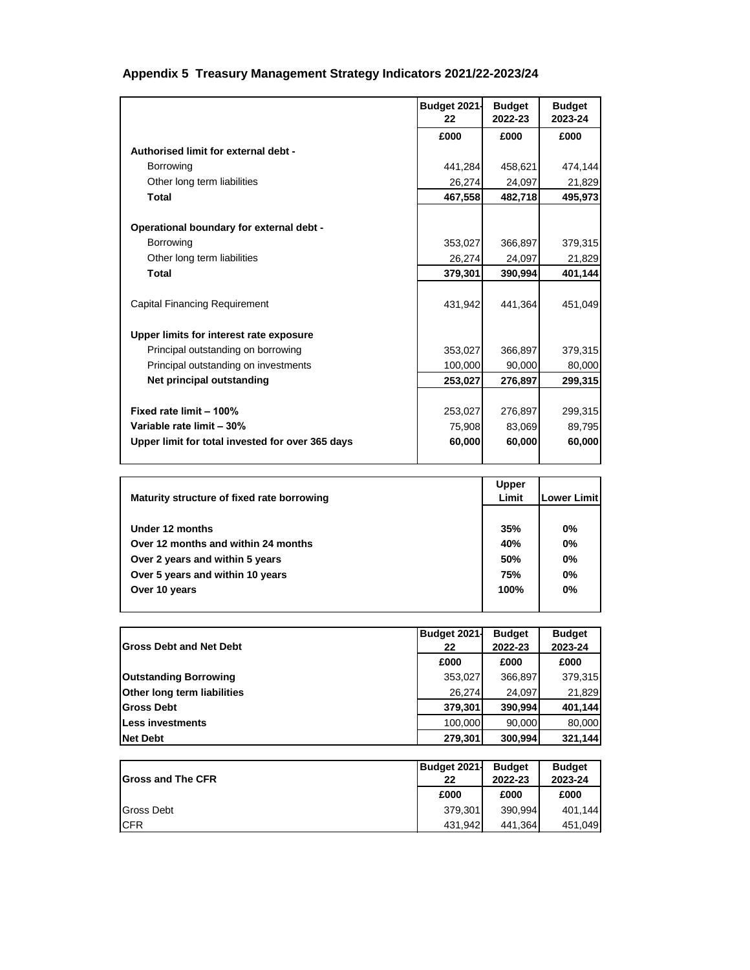## **Appendix 5 Treasury Management Strategy Indicators 2021/22-2023/24**

|                                                  | Budget 2021-<br>22 | <b>Budget</b><br>2022-23 | <b>Budget</b><br>2023-24 |
|--------------------------------------------------|--------------------|--------------------------|--------------------------|
|                                                  | £000               | £000                     | £000                     |
| Authorised limit for external debt -             |                    |                          |                          |
| <b>Borrowing</b>                                 | 441,284            | 458,621                  | 474,144                  |
| Other long term liabilities                      | 26,274             | 24,097                   | 21,829                   |
| <b>Total</b>                                     | 467,558            | 482,718                  | 495,973                  |
|                                                  |                    |                          |                          |
| Operational boundary for external debt -         |                    |                          |                          |
| Borrowing                                        | 353,027            | 366,897                  | 379,315                  |
| Other long term liabilities                      | 26,274             | 24,097                   | 21,829                   |
| <b>Total</b>                                     | 379,301            | 390,994                  | 401,144                  |
| Capital Financing Requirement                    | 431,942            | 441,364                  | 451,049                  |
| Upper limits for interest rate exposure          |                    |                          |                          |
| Principal outstanding on borrowing               | 353,027            | 366,897                  | 379,315                  |
| Principal outstanding on investments             | 100,000            | 90,000                   | 80,000                   |
| Net principal outstanding                        | 253,027            | 276,897                  | 299,315                  |
|                                                  |                    |                          |                          |
| Fixed rate limit - 100%                          | 253,027            | 276,897                  | 299,315                  |
| Variable rate limit - 30%                        | 75,908             | 83,069                   | 89,795                   |
| Upper limit for total invested for over 365 days | 60,000             | 60,000                   | 60,000                   |

| Maturity structure of fixed rate borrowing | <b>Upper</b><br>Limit | Lower Limit |
|--------------------------------------------|-----------------------|-------------|
|                                            |                       |             |
| Under 12 months                            | 35%                   | 0%          |
| Over 12 months and within 24 months        | 40%                   | 0%          |
| Over 2 years and within 5 years            | 50%                   | 0%          |
| Over 5 years and within 10 years           | 75%                   | 0%          |
| Over 10 years                              | 100%                  | 0%          |
|                                            |                       |             |

|                                    | <b>Budget 2021-</b> | <b>Budget</b> | <b>Budget</b> |
|------------------------------------|---------------------|---------------|---------------|
| <b>Gross Debt and Net Debt</b>     | 22                  | 2022-23       | 2023-24       |
|                                    | £000                | £000          | £000          |
| <b>Outstanding Borrowing</b>       | 353,027             | 366,897       | 379,315       |
| <b>Other long term liabilities</b> | 26,274              | 24,097        | 21,829        |
| <b>Gross Debt</b>                  | 379,301             | 390,994       | 401,144       |
| Less investments                   | 100,000             | 90,000        | 80,000        |
| <b>Net Debt</b>                    | 279,301             | 300,994       | 321,144       |

|                           | Budget 2021- | <b>Budget</b> | <b>Budget</b> |
|---------------------------|--------------|---------------|---------------|
| <b>IGross and The CFR</b> | 22           | 2022-23       | 2023-24       |
|                           | £000         | £000          | £000          |
| Gross Debt                | 379.301      | 390.994       | 401.144       |
| <b>ICFR</b>               | 431.942      | 441.364       | 451,049       |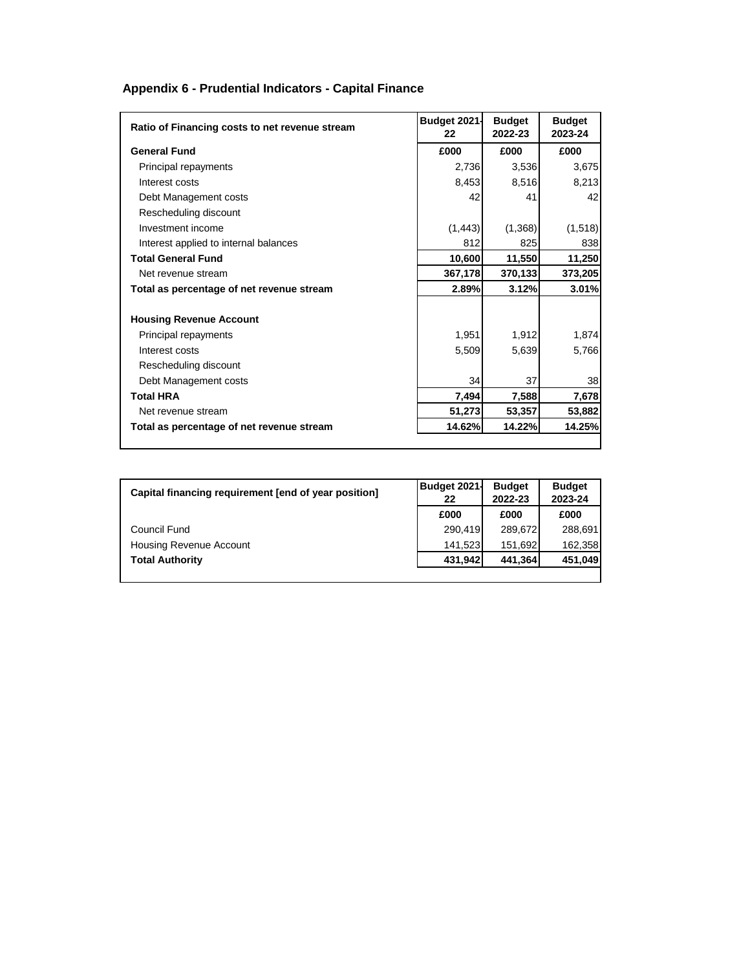## **Appendix 6 - Prudential Indicators - Capital Finance**

| Ratio of Financing costs to net revenue stream | Budget 2021-<br>22 | <b>Budget</b><br>2022-23 | <b>Budget</b><br>2023-24 |
|------------------------------------------------|--------------------|--------------------------|--------------------------|
| <b>General Fund</b>                            | £000               | £000                     | £000                     |
| Principal repayments                           | 2,736              | 3,536                    | 3,675                    |
| Interest costs                                 | 8,453              | 8,516                    | 8,213                    |
| Debt Management costs                          | 42                 | 41                       | 42                       |
| Rescheduling discount                          |                    |                          |                          |
| Investment income                              | (1, 443)           | (1,368)                  | (1, 518)                 |
| Interest applied to internal balances          | 812                | 825                      | 838                      |
| <b>Total General Fund</b>                      | 10,600             | 11,550                   | 11,250                   |
| Net revenue stream                             | 367,178            | 370,133                  | 373,205                  |
| Total as percentage of net revenue stream      | 2.89%              | 3.12%                    | 3.01%                    |
|                                                |                    |                          |                          |
| <b>Housing Revenue Account</b>                 |                    |                          |                          |
| Principal repayments                           | 1,951              | 1,912                    | 1,874                    |
| Interest costs                                 | 5,509              | 5,639                    | 5,766                    |
| Rescheduling discount                          |                    |                          |                          |
| Debt Management costs                          | 34                 | 37                       | 38                       |
| <b>Total HRA</b>                               | 7,494              | 7,588                    | 7,678                    |
| Net revenue stream                             | 51,273             | 53,357                   | 53,882                   |
| Total as percentage of net revenue stream      | 14.62%             | 14.22%                   | 14.25%                   |
|                                                |                    |                          |                          |

| Capital financing requirement [end of year position] | <b>Budget 2021-</b> | <b>Budget</b> | <b>Budget</b> |
|------------------------------------------------------|---------------------|---------------|---------------|
|                                                      | 22                  | 2022-23       | 2023-24       |
|                                                      | £000                | £000          | £000          |
| Council Fund                                         | 290,419             | 289,672       | 288.691       |
| Housing Revenue Account                              | 141,523             | 151,692       | 162,358       |
| <b>Total Authority</b>                               | 431,942             | 441,364       | 451,049       |
|                                                      |                     |               |               |